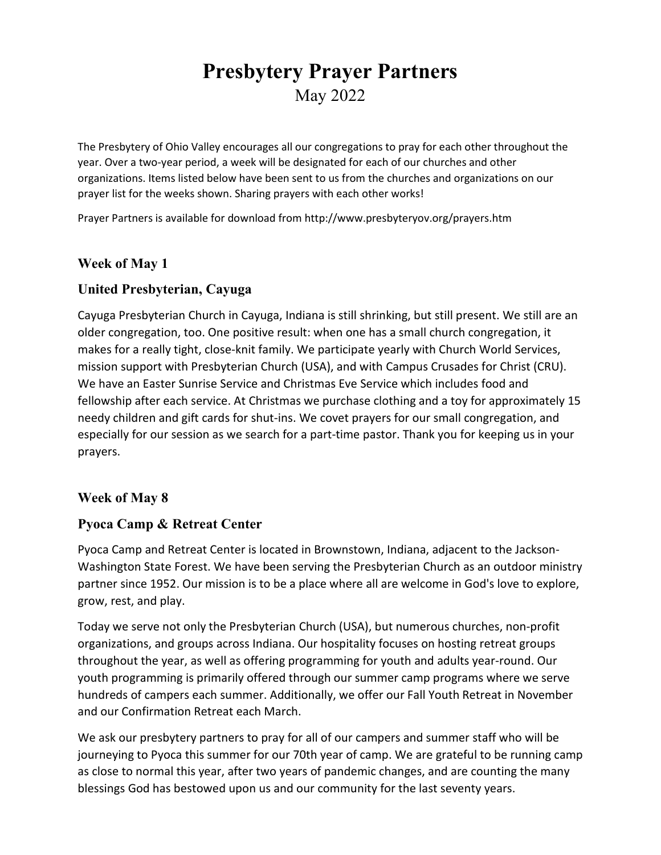# **Presbytery Prayer Partners** May 2022

The Presbytery of Ohio Valley encourages all our congregations to pray for each other throughout the year. Over a two-year period, a week will be designated for each of our churches and other organizations. Items listed below have been sent to us from the churches and organizations on our prayer list for the weeks shown. Sharing prayers with each other works!

Prayer Partners is available for download from http://www.presbyteryov.org/prayers.htm

# **Week of May 1**

# **United Presbyterian, Cayuga**

Cayuga Presbyterian Church in Cayuga, Indiana is still shrinking, but still present. We still are an older congregation, too. One positive result: when one has a small church congregation, it makes for a really tight, close-knit family. We participate yearly with Church World Services, mission support with Presbyterian Church (USA), and with Campus Crusades for Christ (CRU). We have an Easter Sunrise Service and Christmas Eve Service which includes food and fellowship after each service. At Christmas we purchase clothing and a toy for approximately 15 needy children and gift cards for shut-ins. We covet prayers for our small congregation, and especially for our session as we search for a part-time pastor. Thank you for keeping us in your prayers.

# **Week of May 8**

# **Pyoca Camp & Retreat Center**

Pyoca Camp and Retreat Center is located in Brownstown, Indiana, adjacent to the Jackson-Washington State Forest. We have been serving the Presbyterian Church as an outdoor ministry partner since 1952. Our mission is to be a place where all are welcome in God's love to explore, grow, rest, and play.

Today we serve not only the Presbyterian Church (USA), but numerous churches, non-profit organizations, and groups across Indiana. Our hospitality focuses on hosting retreat groups throughout the year, as well as offering programming for youth and adults year-round. Our youth programming is primarily offered through our summer camp programs where we serve hundreds of campers each summer. Additionally, we offer our Fall Youth Retreat in November and our Confirmation Retreat each March.

We ask our presbytery partners to pray for all of our campers and summer staff who will be journeying to Pyoca this summer for our 70th year of camp. We are grateful to be running camp as close to normal this year, after two years of pandemic changes, and are counting the many blessings God has bestowed upon us and our community for the last seventy years.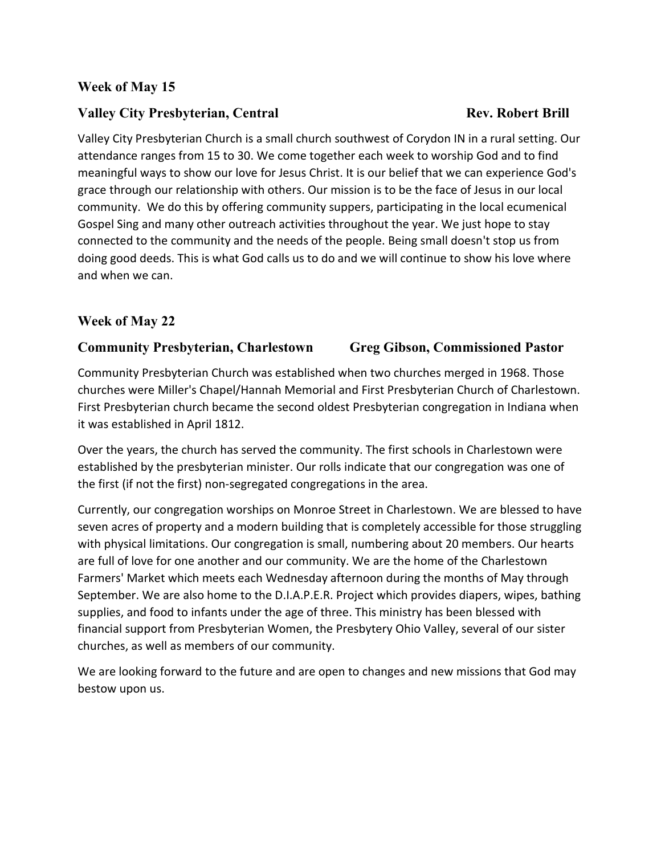# **Week of May 15**

### **Valley City Presbyterian, Central <b>Rev. Robert Brill** Rev. Robert Brill

# Valley City Presbyterian Church is a small church southwest of Corydon IN in a rural setting. Our attendance ranges from 15 to 30. We come together each week to worship God and to find meaningful ways to show our love for Jesus Christ. It is our belief that we can experience God's grace through our relationship with others. Our mission is to be the face of Jesus in our local community. We do this by offering community suppers, participating in the local ecumenical Gospel Sing and many other outreach activities throughout the year. We just hope to stay connected to the community and the needs of the people. Being small doesn't stop us from doing good deeds. This is what God calls us to do and we will continue to show his love where and when we can.

### **Week of May 22**

### **Community Presbyterian, Charlestown Greg Gibson, Commissioned Pastor**

Community Presbyterian Church was established when two churches merged in 1968. Those churches were Miller's Chapel/Hannah Memorial and First Presbyterian Church of Charlestown. First Presbyterian church became the second oldest Presbyterian congregation in Indiana when it was established in April 1812.

Over the years, the church has served the community. The first schools in Charlestown were established by the presbyterian minister. Our rolls indicate that our congregation was one of the first (if not the first) non-segregated congregations in the area.

Currently, our congregation worships on Monroe Street in Charlestown. We are blessed to have seven acres of property and a modern building that is completely accessible for those struggling with physical limitations. Our congregation is small, numbering about 20 members. Our hearts are full of love for one another and our community. We are the home of the Charlestown Farmers' Market which meets each Wednesday afternoon during the months of May through September. We are also home to the D.I.A.P.E.R. Project which provides diapers, wipes, bathing supplies, and food to infants under the age of three. This ministry has been blessed with financial support from Presbyterian Women, the Presbytery Ohio Valley, several of our sister churches, as well as members of our community.

We are looking forward to the future and are open to changes and new missions that God may bestow upon us.